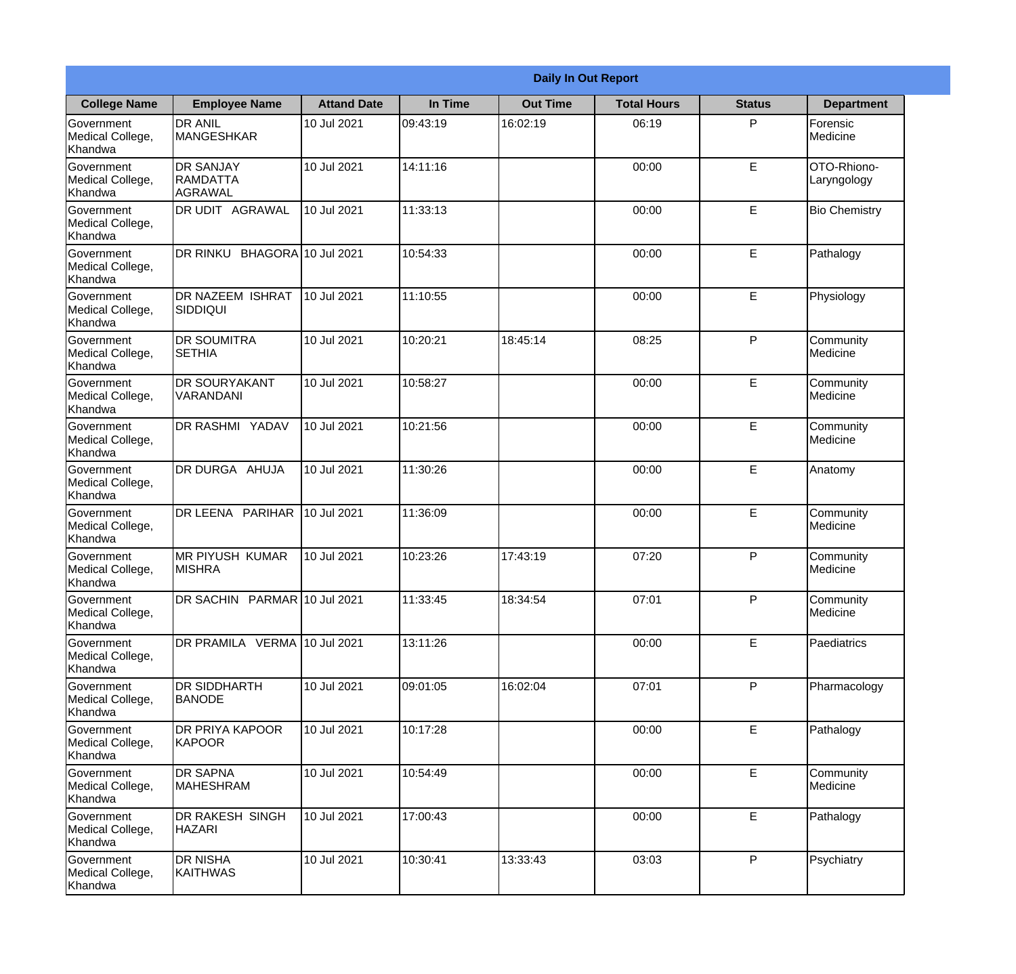|                                                  |                                                |                    |          | <b>Daily In Out Report</b> |                    |               |                            |
|--------------------------------------------------|------------------------------------------------|--------------------|----------|----------------------------|--------------------|---------------|----------------------------|
| <b>College Name</b>                              | <b>Employee Name</b>                           | <b>Attand Date</b> | In Time  | <b>Out Time</b>            | <b>Total Hours</b> | <b>Status</b> | <b>Department</b>          |
| Government<br>Medical College,<br>Khandwa        | <b>DR ANIL</b><br><b>MANGESHKAR</b>            | 10 Jul 2021        | 09:43:19 | 16:02:19                   | 06:19              | P             | Forensic<br>Medicine       |
| Government<br>Medical College,<br>Khandwa        | <b>DR SANJAY</b><br><b>RAMDATTA</b><br>AGRAWAL | 10 Jul 2021        | 14:11:16 |                            | 00:00              | E             | OTO-Rhiono-<br>Laryngology |
| <b>Government</b><br>Medical College,<br>Khandwa | <b>DR UDIT AGRAWAL</b>                         | 10 Jul 2021        | 11:33:13 |                            | 00:00              | E             | <b>Bio Chemistry</b>       |
| Government<br>Medical College,<br>Khandwa        | DR RINKU<br>BHAGORA 10 Jul 2021                |                    | 10:54:33 |                            | 00:00              | $\mathsf E$   | Pathalogy                  |
| Government<br>Medical College,<br>Khandwa        | <b>DR NAZEEM ISHRAT</b><br>SIDDIQUI            | 10 Jul 2021        | 11:10:55 |                            | 00:00              | E             | Physiology                 |
| Government<br>Medical College,<br>Khandwa        | <b>DR SOUMITRA</b><br><b>SETHIA</b>            | 10 Jul 2021        | 10:20:21 | 18:45:14                   | 08:25              | P             | Community<br>Medicine      |
| Government<br>Medical College,<br>Khandwa        | <b>DR SOURYAKANT</b><br>VARANDANI              | 10 Jul 2021        | 10:58:27 |                            | 00:00              | E             | Community<br>Medicine      |
| <b>Government</b><br>Medical College,<br>Khandwa | DR RASHMI YADAV                                | 10 Jul 2021        | 10:21:56 |                            | 00:00              | E             | Community<br>Medicine      |
| Government<br>Medical College,<br>Khandwa        | <b>DR DURGA AHUJA</b>                          | 10 Jul 2021        | 11:30:26 |                            | 00:00              | E             | Anatomy                    |
| Government<br>Medical College,<br>Khandwa        | DR LEENA PARIHAR                               | 10 Jul 2021        | 11:36:09 |                            | 00:00              | E             | Community<br>Medicine      |
| Government<br>Medical College,<br>Khandwa        | <b>IMR PIYUSH KUMAR</b><br><b>MISHRA</b>       | 10 Jul 2021        | 10:23:26 | 17:43:19                   | 07:20              | P             | Community<br>Medicine      |
| Government<br>Medical College,<br>Khandwa        | DR SACHIN PARMAR 10 Jul 2021                   |                    | 11:33:45 | 18:34:54                   | 07:01              | P             | Community<br>Medicine      |
| Government<br>Medical College,<br>Khandwa        | DR PRAMILA VERMA 10 Jul 2021                   |                    | 13:11:26 |                            | 00:00              | E             | Paediatrics                |
| Government<br>Medical College,<br>Khandwa        | <b>DR SIDDHARTH</b><br><b>BANODE</b>           | 10 Jul 2021        | 09:01:05 | 16:02:04                   | 07:01              | P             | Pharmacology               |
| Government<br>Medical College,<br>Khandwa        | <b>DR PRIYA KAPOOR</b><br>KAPOOR               | 10 Jul 2021        | 10:17:28 |                            | 00:00              | E             | Pathalogy                  |
| Government<br>Medical College,<br>Khandwa        | <b>DR SAPNA</b><br><b>MAHESHRAM</b>            | 10 Jul 2021        | 10:54:49 |                            | 00:00              | $\mathsf E$   | Community<br>Medicine      |
| Government<br>Medical College,<br>Khandwa        | <b>DR RAKESH SINGH</b><br><b>HAZARI</b>        | 10 Jul 2021        | 17:00:43 |                            | 00:00              | E             | Pathalogy                  |
| Government<br>Medical College,<br>Khandwa        | <b>DR NISHA</b><br>KAITHWAS                    | 10 Jul 2021        | 10:30:41 | 13:33:43                   | 03:03              | P             | Psychiatry                 |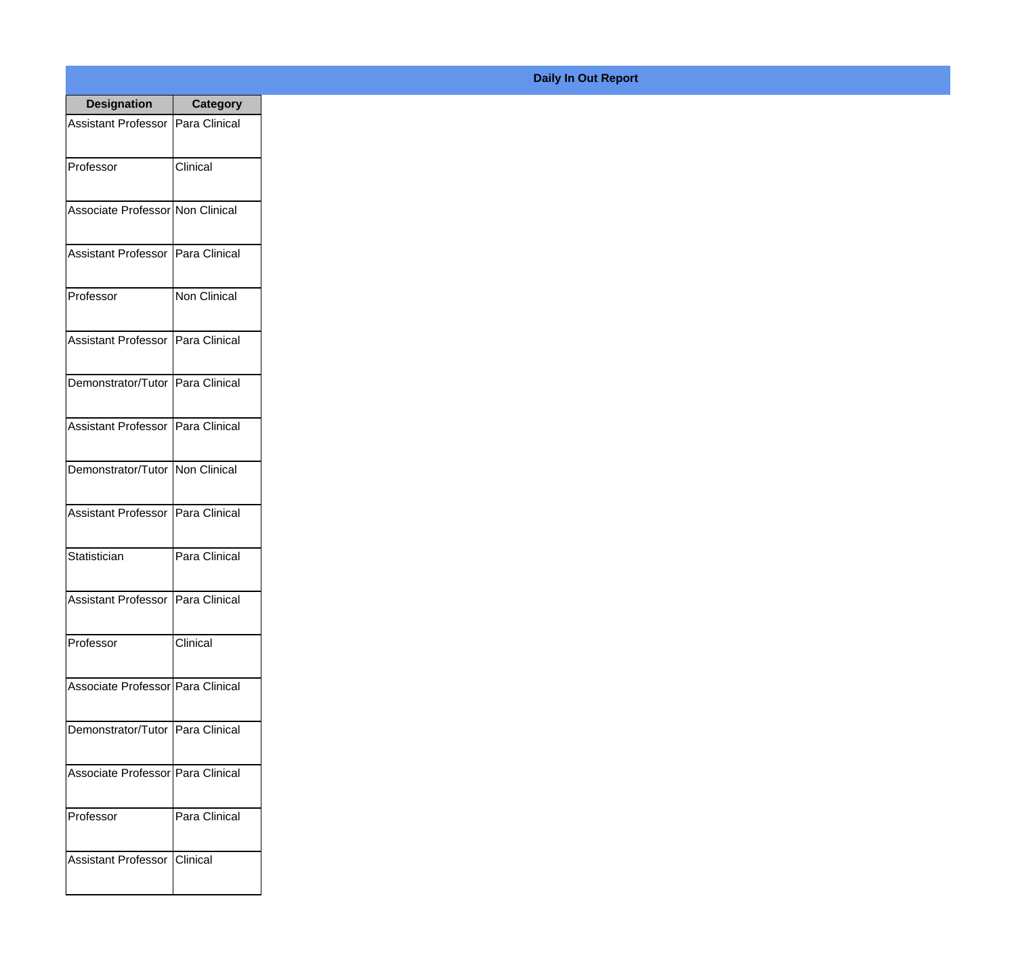| <b>Designation</b>                  | <b>Category</b> |
|-------------------------------------|-----------------|
| Assistant Professor   Para Clinical |                 |
| Professor                           | Clinical        |
| Associate Professor Non Clinical    |                 |
| <b>Assistant Professor</b>          | Para Clinical   |
| Professor                           | Non Clinical    |
| Assistant Professor   Para Clinical |                 |
| Demonstrator/Tutor   Para Clinical  |                 |
| Assistant Professor   Para Clinical |                 |
| Demonstrator/Tutor   Non Clinical   |                 |
| <b>Assistant Professor</b>          | Para Clinical   |
| Statistician                        | Para Clinical   |
| Assistant Professor   Para Clinical |                 |
| Professor                           | Clinical        |
| Associate Professor   Para Clinical |                 |
| Demonstrator/Tutor   Para Clinical  |                 |
| Associate Professor   Para Clinical |                 |
| Professor                           | Para Clinical   |
| Assistant Professor   Clinical      |                 |

## **Daily In Out Report**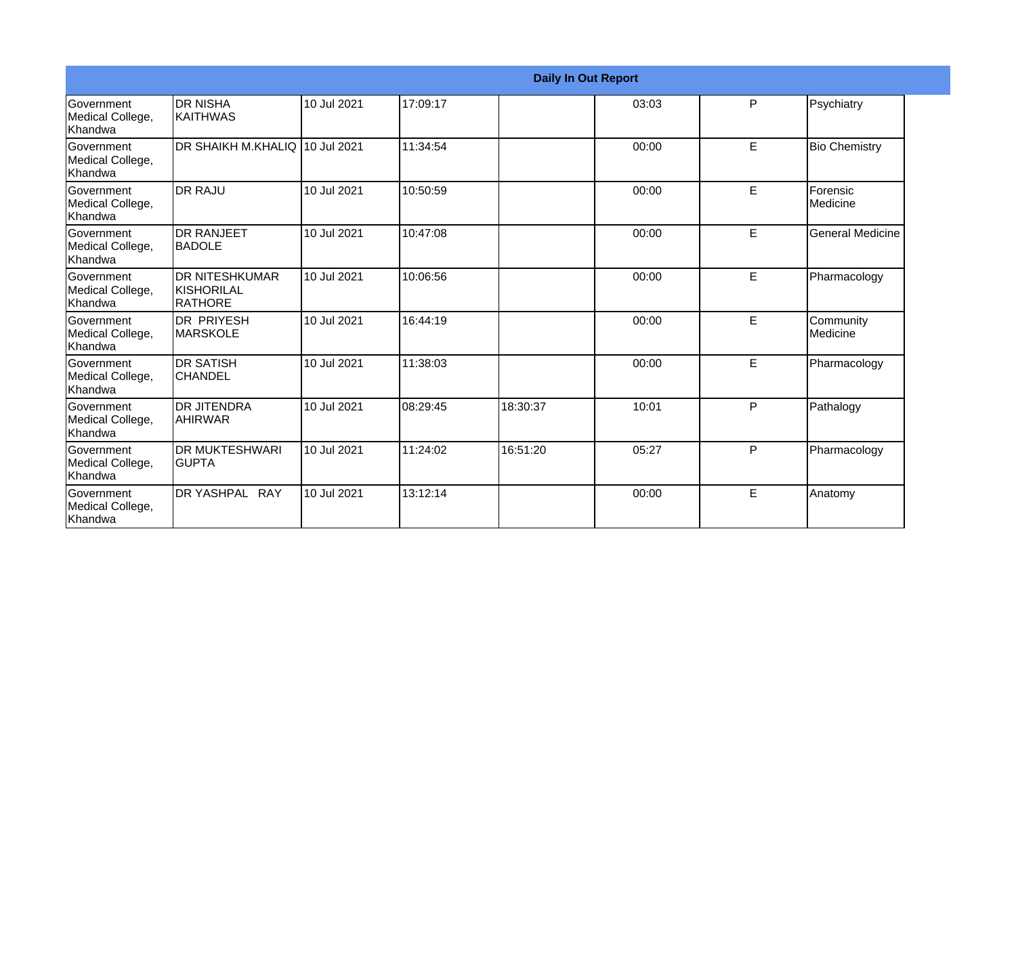|                                                  |                                                        |             |          |          | <b>Daily In Out Report</b> |   |                       |
|--------------------------------------------------|--------------------------------------------------------|-------------|----------|----------|----------------------------|---|-----------------------|
| <b>Government</b><br>Medical College,<br>Khandwa | IDR NISHA<br><b>KAITHWAS</b>                           | 10 Jul 2021 | 17:09:17 |          | 03:03                      | P | Psychiatry            |
| <b>Sovernment</b><br>Medical College,<br>Khandwa | DR SHAIKH M.KHALIQ 10 Jul 2021                         |             | 11:34:54 |          | 00:00                      | E | <b>Bio Chemistry</b>  |
| Government<br>Medical College,<br>Khandwa        | <b>I</b> DR RAJU                                       | 10 Jul 2021 | 10:50:59 |          | 00:00                      | E | Forensic<br>Medicine  |
| <b>Government</b><br>Medical College,<br>Khandwa | IDR RANJEET<br><b>BADOLE</b>                           | 10 Jul 2021 | 10:47:08 |          | 00:00                      | E | General Medicine      |
| Government<br>Medical College,<br>Khandwa        | <b>DR NITESHKUMAR</b><br><b>KISHORILAL</b><br>IRATHORE | 10 Jul 2021 | 10:06:56 |          | 00:00                      | E | Pharmacology          |
| <b>Sovernment</b><br>Medical College,<br>Khandwa | IDR PRIYESH<br><b>MARSKOLE</b>                         | 10 Jul 2021 | 16:44:19 |          | 00:00                      | E | Community<br>Medicine |
| Government<br>Medical College,<br>Khandwa        | <b>DR SATISH</b><br><b>CHANDEL</b>                     | 10 Jul 2021 | 11:38:03 |          | 00:00                      | E | Pharmacology          |
| <b>Government</b><br>Medical College,<br>Khandwa | IDR JITENDRA<br><b>AHIRWAR</b>                         | 10 Jul 2021 | 08:29:45 | 18:30:37 | 10:01                      | P | Pathalogy             |
| Government<br>Medical College,<br>Khandwa        | <b>DR MUKTESHWARI</b><br>IGUPTA                        | 10 Jul 2021 | 11:24:02 | 16:51:20 | 05:27                      | P | Pharmacology          |
| Government<br>Medical College,<br>Khandwa        | DR YASHPAL RAY                                         | 10 Jul 2021 | 13:12:14 |          | 00:00                      | E | Anatomy               |